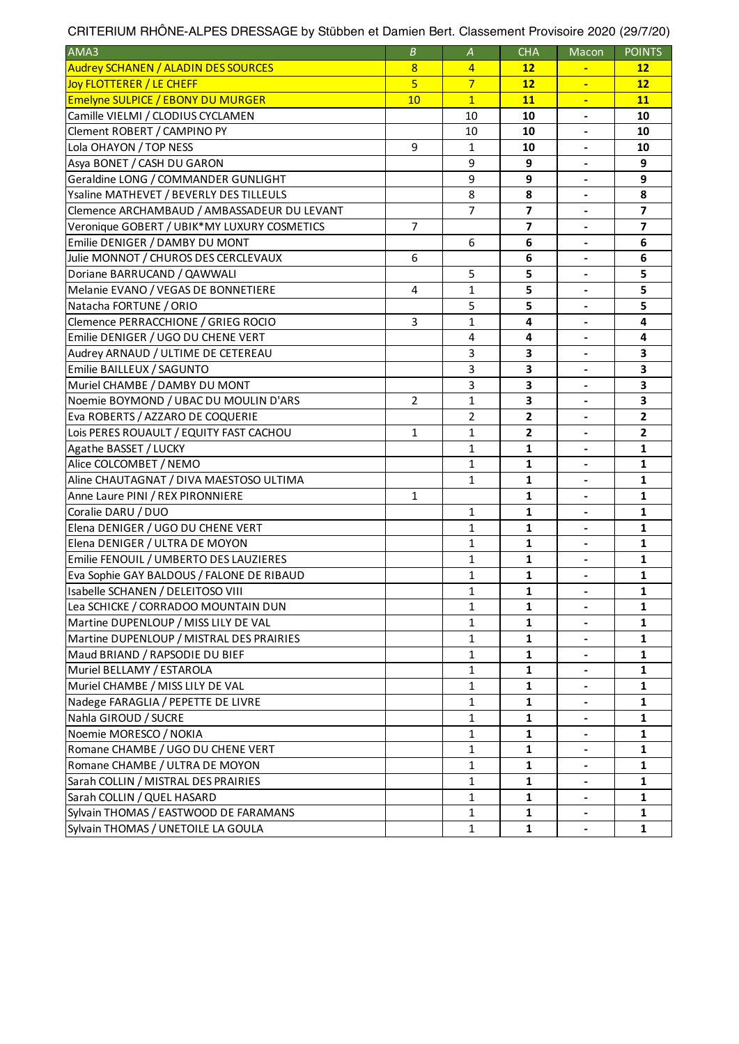| CRITERIUM RHÖNE-ALPES DRESSAGE by Stübben et Damien Bert. Classement Provisoire 2020 (29/7/20) |  |  |
|------------------------------------------------------------------------------------------------|--|--|
|                                                                                                |  |  |
|                                                                                                |  |  |
|                                                                                                |  |  |

| AMA3                                        | $\boldsymbol{B}$ | $\boldsymbol{A}$ | <b>CHA</b>              | Macon                        | <b>POINTS</b>           |
|---------------------------------------------|------------------|------------------|-------------------------|------------------------------|-------------------------|
| <b>Audrey SCHANEN / ALADIN DES SOURCES</b>  | 8                | $\overline{4}$   | $12 \overline{ }$       | $\blacksquare$               | $12 \overline{ }$       |
| Joy FLOTTERER / LE CHEFF                    | $\overline{5}$   | $\overline{7}$   | 12                      | $\blacksquare$               | 12                      |
| <b>Emelyne SULPICE / EBONY DU MURGER</b>    | 10               | $\overline{1}$   | 11                      | $\blacksquare$               | 11                      |
| Camille VIELMI / CLODIUS CYCLAMEN           |                  | 10               | 10                      | $\overline{\phantom{a}}$     | 10                      |
| Clement ROBERT / CAMPINO PY                 |                  | 10               | 10                      | $\overline{\phantom{a}}$     | 10                      |
| Lola OHAYON / TOP NESS                      | 9                | 1                | 10                      | $\overline{\phantom{a}}$     | 10                      |
| Asya BONET / CASH DU GARON                  |                  | 9                | 9                       | $\blacksquare$               | 9                       |
| Geraldine LONG / COMMANDER GUNLIGHT         |                  | 9                | 9                       | $\overline{\phantom{a}}$     | 9                       |
| Ysaline MATHEVET / BEVERLY DES TILLEULS     |                  | 8                | 8                       | $\overline{\phantom{a}}$     | 8                       |
| Clemence ARCHAMBAUD / AMBASSADEUR DU LEVANT |                  | 7                | 7                       |                              | $\overline{\mathbf{z}}$ |
| Veronique GOBERT / UBIK*MY LUXURY COSMETICS | 7                |                  | 7                       |                              | $\overline{\mathbf{z}}$ |
| Emilie DENIGER / DAMBY DU MONT              |                  | 6                | 6                       | $\blacksquare$               | 6                       |
| Julie MONNOT / CHUROS DES CERCLEVAUX        | 6                |                  | 6                       |                              | 6                       |
| Doriane BARRUCAND / QAWWALI                 |                  | 5                | 5                       | $\qquad \qquad \blacksquare$ | 5                       |
| Melanie EVANO / VEGAS DE BONNETIERE         | 4                | 1                | 5                       | $\overline{\phantom{a}}$     | 5                       |
| Natacha FORTUNE / ORIO                      |                  | 5                | 5                       | $\blacksquare$               | 5                       |
| Clemence PERRACCHIONE / GRIEG ROCIO         | 3                | 1                | 4                       | $\overline{\phantom{a}}$     | 4                       |
| Emilie DENIGER / UGO DU CHENE VERT          |                  | 4                | 4                       |                              | 4                       |
| Audrey ARNAUD / ULTIME DE CETEREAU          |                  | 3                | 3                       |                              | 3                       |
| Emilie BAILLEUX / SAGUNTO                   |                  | 3                | 3                       |                              | 3                       |
| Muriel CHAMBE / DAMBY DU MONT               |                  | 3                | 3                       | $\overline{\phantom{a}}$     | 3                       |
| Noemie BOYMOND / UBAC DU MOULIN D'ARS       | $\overline{2}$   | 1                | 3                       | $\qquad \qquad \blacksquare$ | 3                       |
| Eva ROBERTS / AZZARO DE COQUERIE            |                  | $\overline{2}$   | $\overline{2}$          | $\blacksquare$               | $\overline{\mathbf{2}}$ |
| Lois PERES ROUAULT / EQUITY FAST CACHOU     | $\mathbf{1}$     | $\mathbf{1}$     | $\overline{\mathbf{2}}$ | $\overline{\phantom{a}}$     | $\overline{\mathbf{2}}$ |
| Agathe BASSET / LUCKY                       |                  | 1                | 1                       |                              | $\mathbf{1}$            |
| Alice COLCOMBET / NEMO                      |                  | 1                | 1                       |                              | $\mathbf{1}$            |
| Aline CHAUTAGNAT / DIVA MAESTOSO ULTIMA     |                  | $\mathbf{1}$     | $\mathbf{1}$            | $\blacksquare$               | $\mathbf{1}$            |
| Anne Laure PINI / REX PIRONNIERE            | 1                |                  | $\mathbf{1}$            | $\overline{\phantom{a}}$     | $\mathbf{1}$            |
| Coralie DARU / DUO                          |                  | 1                | 1                       |                              | $\mathbf{1}$            |
| Elena DENIGER / UGO DU CHENE VERT           |                  | 1                | 1                       | $\blacksquare$               | $\mathbf{1}$            |
| Elena DENIGER / ULTRA DE MOYON              |                  | 1                | 1                       | $\blacksquare$               | 1                       |
| Emilie FENOUIL / UMBERTO DES LAUZIERES      |                  | 1                | 1                       | $\overline{\phantom{a}}$     | $\mathbf{1}$            |
| Eva Sophie GAY BALDOUS / FALONE DE RIBAUD   |                  | 1                | 1                       |                              | 1                       |
| Isabelle SCHANEN / DELEITOSO VIII           |                  | $\mathbf{1}$     | $\mathbf{1}$            |                              | $\mathbf{1}$            |
| Lea SCHICKE / CORRADOO MOUNTAIN DUN         |                  | 1                | 1                       | $\blacksquare$               | 1                       |
| Martine DUPENLOUP / MISS LILY DE VAL        |                  | 1                | 1                       |                              | 1                       |
| Martine DUPENLOUP / MISTRAL DES PRAIRIES    |                  | 1                | 1                       |                              | 1                       |
| Maud BRIAND / RAPSODIE DU BIEF              |                  | $\mathbf{1}$     | 1                       | $\blacksquare$               | 1                       |
| Muriel BELLAMY / ESTAROLA                   |                  | 1                | 1                       | $\blacksquare$               | 1                       |
| Muriel CHAMBE / MISS LILY DE VAL            |                  | 1                | 1                       |                              | 1                       |
| Nadege FARAGLIA / PEPETTE DE LIVRE          |                  | 1                | 1                       |                              | 1                       |
| Nahla GIROUD / SUCRE                        |                  | $\mathbf{1}$     | 1                       |                              | $\mathbf{1}$            |
| Noemie MORESCO / NOKIA                      |                  | $\mathbf{1}$     | $\mathbf{1}$            |                              | $\mathbf{1}$            |
| Romane CHAMBE / UGO DU CHENE VERT           |                  | $\mathbf{1}$     | 1                       |                              | 1                       |
| Romane CHAMBE / ULTRA DE MOYON              |                  | $\mathbf{1}$     | 1                       | $\blacksquare$               | 1                       |
| Sarah COLLIN / MISTRAL DES PRAIRIES         |                  | $\mathbf{1}$     | $\mathbf{1}$            | $\blacksquare$               | 1                       |
| Sarah COLLIN / QUEL HASARD                  |                  | $\mathbf{1}$     | 1                       | $\blacksquare$               | 1                       |
| Sylvain THOMAS / EASTWOOD DE FARAMANS       |                  | $\mathbf{1}$     | 1                       |                              | 1                       |
| Sylvain THOMAS / UNETOILE LA GOULA          |                  | $\mathbf{1}$     | 1                       |                              | 1                       |